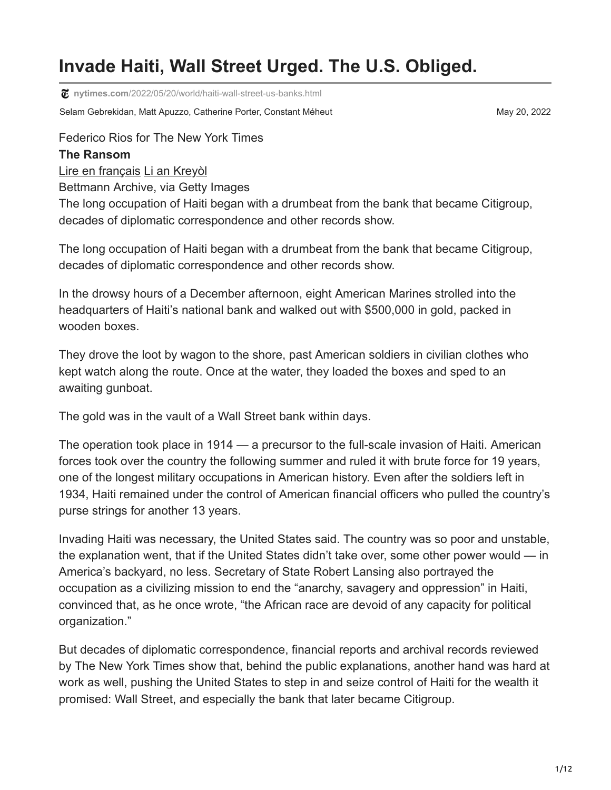# **Invade Haiti, Wall Street Urged. The U.S. Obliged.**

**nytimes.com**[/2022/05/20/world/haiti-wall-street-us-banks.html](https://www.nytimes.com/2022/05/20/world/haiti-wall-street-us-banks.html)

Selam Gebrekidan, Matt Apuzzo, Catherine Porter, Constant Méheut May 20, 2022

Federico Rios for The New York Times

#### **The Ransom**

[Lire en français](https://www.nytimes.com/fr/2022/05/20/world/haiti-etats-unis-occupation.html) [Li an Kreyòl](https://www.nytimes.com/ht/2022/05/21/world/ayiti-wall-street-etazini-det.html)

Bettmann Archive, via Getty Images

The long occupation of Haiti began with a drumbeat from the bank that became Citigroup, decades of diplomatic correspondence and other records show.

The long occupation of Haiti began with a drumbeat from the bank that became Citigroup, decades of diplomatic correspondence and other records show.

In the drowsy hours of a December afternoon, eight American Marines strolled into the headquarters of Haiti's national bank and walked out with \$500,000 in gold, packed in wooden boxes.

They drove the loot by wagon to the shore, past American soldiers in civilian clothes who kept watch along the route. Once at the water, they loaded the boxes and sped to an awaiting gunboat.

The gold was in the vault of a Wall Street bank within days.

The operation took place in 1914 — a precursor to the full-scale invasion of Haiti. American forces took over the country the following summer and ruled it with brute force for 19 years, one of the longest military occupations in American history. Even after the soldiers left in 1934, Haiti remained under the control of American financial officers who pulled the country's purse strings for another 13 years.

Invading Haiti was necessary, the United States said. The country was so poor and unstable, the explanation went, that if the United States didn't take over, some other power would — in America's backyard, no less. Secretary of State Robert Lansing also portrayed the occupation as a civilizing mission to end the "anarchy, savagery and oppression" in Haiti, convinced that, as he once wrote, "the African race are devoid of any capacity for political organization."

But decades of diplomatic correspondence, financial reports and archival records reviewed by The New York Times show that, behind the public explanations, another hand was hard at work as well, pushing the United States to step in and seize control of Haiti for the wealth it promised: Wall Street, and especially the bank that later became Citigroup.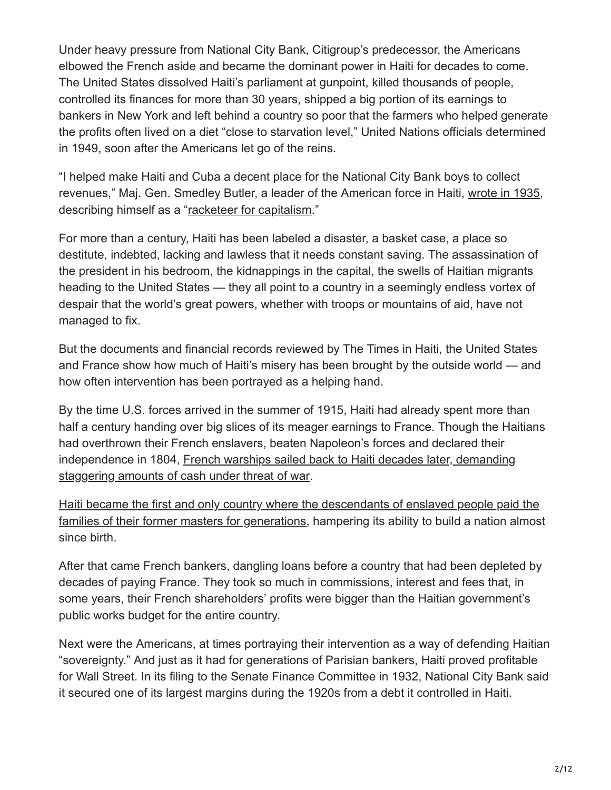Under heavy pressure from National City Bank, Citigroup's predecessor, the Americans elbowed the French aside and became the dominant power in Haiti for decades to come. The United States dissolved Haiti's parliament at gunpoint, killed thousands of people, controlled its finances for more than 30 years, shipped a big portion of its earnings to bankers in New York and left behind a country so poor that the farmers who helped generate the profits often lived on a diet "close to starvation level," United Nations officials determined in 1949, soon after the Americans let go of the reins.

"I helped make Haiti and Cuba a decent place for the National City Bank boys to collect revenues," Maj. Gen. Smedley Butler, a leader of the American force in Haiti, [wrote in 1935,](https://msuweb.montclair.edu/~furrg/Vietnam/butler.pdf) describing himself as a ["racketeer for capitalism.](https://www.nytimes.com/2022/01/28/opinion/smedley-butler-wars.html)"

For more than a century, Haiti has been labeled a disaster, a basket case, a place so destitute, indebted, lacking and lawless that it needs constant saving. The assassination of the president in his bedroom, the kidnappings in the capital, the swells of Haitian migrants heading to the United States — they all point to a country in a seemingly endless vortex of despair that the world's great powers, whether with troops or mountains of aid, have not managed to fix.

But the documents and financial records reviewed by The Times in Haiti, the United States and France show how much of Haiti's misery has been brought by the outside world — and how often intervention has been portrayed as a helping hand.

By the time U.S. forces arrived in the summer of 1915, Haiti had already spent more than half a century handing over big slices of its meager earnings to France. Though the Haitians had overthrown their French enslavers, beaten Napoleon's forces and declared their [independence in 1804, French warships sailed back to Haiti decades later, demanding](https://www.nytimes.com/2022/05/20/world/haiti-history-colonized-france.html) staggering amounts of cash under threat of war.

Haiti became the first and only country where the descendants of enslaved people paid the [families of their former masters for generations, hampering its ability to build a nation almos](https://www.nytimes.com/2022/05/20/world/haiti-history-colonized-france.html)t since birth.

After that came French bankers, dangling loans before a country that had been depleted by decades of paying France. They took so much in commissions, interest and fees that, in some years, their French shareholders' profits were bigger than the Haitian government's public works budget for the entire country.

Next were the Americans, at times portraying their intervention as a way of defending Haitian "sovereignty." And just as it had for generations of Parisian bankers, Haiti proved profitable for Wall Street. In its filing to the Senate Finance Committee in 1932, National City Bank said it secured one of its largest margins during the 1920s from a debt it controlled in Haiti.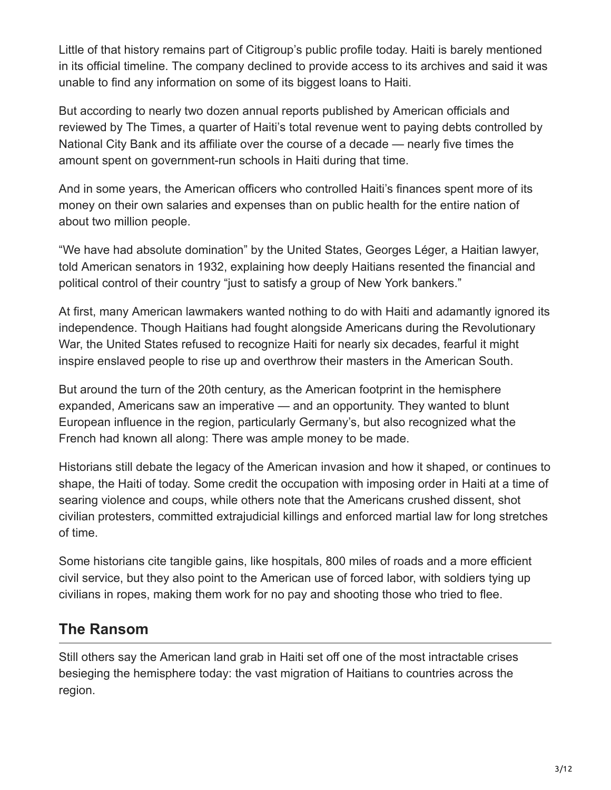Little of that history remains part of Citigroup's public profile today. Haiti is barely mentioned in its official timeline. The company declined to provide access to its archives and said it was unable to find any information on some of its biggest loans to Haiti.

But according to nearly two dozen annual reports published by American officials and reviewed by The Times, a quarter of Haiti's total revenue went to paying debts controlled by National City Bank and its affiliate over the course of a decade — nearly five times the amount spent on government-run schools in Haiti during that time.

And in some years, the American officers who controlled Haiti's finances spent more of its money on their own salaries and expenses than on public health for the entire nation of about two million people.

"We have had absolute domination" by the United States, Georges Léger, a Haitian lawyer, told American senators in 1932, explaining how deeply Haitians resented the financial and political control of their country "just to satisfy a group of New York bankers."

At first, many American lawmakers wanted nothing to do with Haiti and adamantly ignored its independence. Though Haitians had fought alongside Americans during the Revolutionary War, the United States refused to recognize Haiti for nearly six decades, fearful it might inspire enslaved people to rise up and overthrow their masters in the American South.

But around the turn of the 20th century, as the American footprint in the hemisphere expanded, Americans saw an imperative — and an opportunity. They wanted to blunt European influence in the region, particularly Germany's, but also recognized what the French had known all along: There was ample money to be made.

Historians still debate the legacy of the American invasion and how it shaped, or continues to shape, the Haiti of today. Some credit the occupation with imposing order in Haiti at a time of searing violence and coups, while others note that the Americans crushed dissent, shot civilian protesters, committed extrajudicial killings and enforced martial law for long stretches of time.

Some historians cite tangible gains, like hospitals, 800 miles of roads and a more efficient civil service, but they also point to the American use of forced labor, with soldiers tying up civilians in ropes, making them work for no pay and shooting those who tried to flee.

## **The Ransom**

Still others say the American land grab in Haiti set off one of the most intractable crises besieging the hemisphere today: the vast migration of Haitians to countries across the region.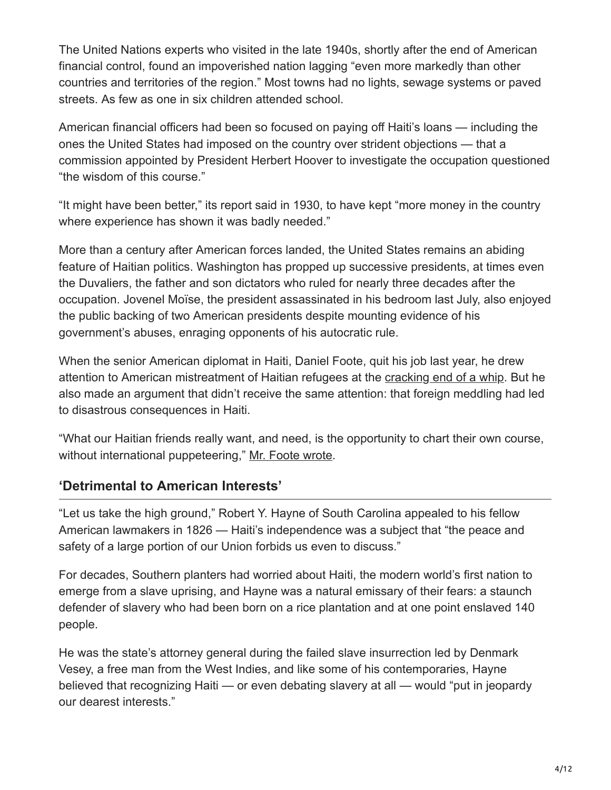The United Nations experts who visited in the late 1940s, shortly after the end of American financial control, found an impoverished nation lagging "even more markedly than other countries and territories of the region." Most towns had no lights, sewage systems or paved streets. As few as one in six children attended school.

American financial officers had been so focused on paying off Haiti's loans — including the ones the United States had imposed on the country over strident objections — that a commission appointed by President Herbert Hoover to investigate the occupation questioned "the wisdom of this course."

"It might have been better," its report said in 1930, to have kept "more money in the country where experience has shown it was badly needed."

More than a century after American forces landed, the United States remains an abiding feature of Haitian politics. Washington has propped up successive presidents, at times even the Duvaliers, the father and son dictators who ruled for nearly three decades after the occupation. Jovenel Moïse, the president assassinated in his bedroom last July, also enjoyed the public backing of two American presidents despite mounting evidence of his government's abuses, enraging opponents of his autocratic rule.

When the senior American diplomat in Haiti, Daniel Foote, quit his job last year, he drew attention to American mistreatment of Haitian refugees at the [cracking end of a whip.](https://www.nytimes.com/2021/09/21/us/politics/haitians-border-patrol-photos.html) But he also made an argument that didn't receive the same attention: that foreign meddling had led to disastrous consequences in Haiti.

"What our Haitian friends really want, and need, is the opportunity to chart their own course, without international puppeteering," [Mr. Foote wrote](https://context-cdn.washingtonpost.com/notes/prod/default/documents/1e7f31dd-ea53-4b53-84d4-bdf742580b00/note/e90a2686-cda3-4582-9b69-7e72815b6d53.#page=1).

#### **'Detrimental to American Interests'**

"Let us take the high ground," Robert Y. Hayne of South Carolina appealed to his fellow American lawmakers in 1826 — Haiti's independence was a subject that "the peace and safety of a large portion of our Union forbids us even to discuss."

For decades, Southern planters had worried about Haiti, the modern world's first nation to emerge from a slave uprising, and Hayne was a natural emissary of their fears: a staunch defender of slavery who had been born on a rice plantation and at one point enslaved 140 people.

He was the state's attorney general during the failed slave insurrection led by Denmark Vesey, a free man from the West Indies, and like some of his contemporaries, Hayne believed that recognizing Haiti — or even debating slavery at all — would "put in jeopardy our dearest interests."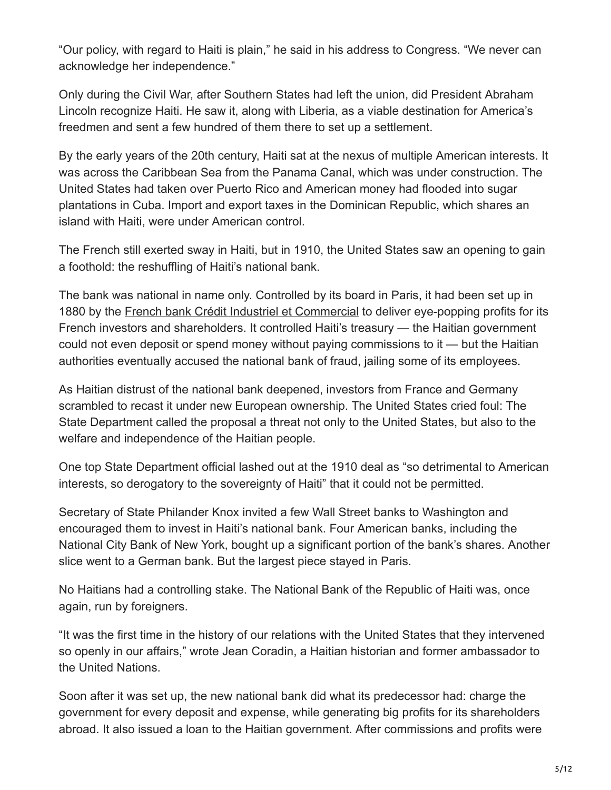"Our policy, with regard to Haiti is plain," he said in his address to Congress. "We never can acknowledge her independence."

Only during the Civil War, after Southern States had left the union, did President Abraham Lincoln recognize Haiti. He saw it, along with Liberia, as a viable destination for America's freedmen and sent a few hundred of them there to set up a settlement.

By the early years of the 20th century, Haiti sat at the nexus of multiple American interests. It was across the Caribbean Sea from the Panama Canal, which was under construction. The United States had taken over Puerto Rico and American money had flooded into sugar plantations in Cuba. Import and export taxes in the Dominican Republic, which shares an island with Haiti, were under American control.

The French still exerted sway in Haiti, but in 1910, the United States saw an opening to gain a foothold: the reshuffling of Haiti's national bank.

The bank was national in name only. Controlled by its board in Paris, it had been set up in 1880 by the [French bank Crédit Industriel et Commercial](https://www.nytimes.com/2022/05/20/world/french-banks-haiti-cic.html) to deliver eye-popping profits for its French investors and shareholders. It controlled Haiti's treasury — the Haitian government could not even deposit or spend money without paying commissions to it — but the Haitian authorities eventually accused the national bank of fraud, jailing some of its employees.

As Haitian distrust of the national bank deepened, investors from France and Germany scrambled to recast it under new European ownership. The United States cried foul: The State Department called the proposal a threat not only to the United States, but also to the welfare and independence of the Haitian people.

One top State Department official lashed out at the 1910 deal as "so detrimental to American interests, so derogatory to the sovereignty of Haiti" that it could not be permitted.

Secretary of State Philander Knox invited a few Wall Street banks to Washington and encouraged them to invest in Haiti's national bank. Four American banks, including the National City Bank of New York, bought up a significant portion of the bank's shares. Another slice went to a German bank. But the largest piece stayed in Paris.

No Haitians had a controlling stake. The National Bank of the Republic of Haiti was, once again, run by foreigners.

"It was the first time in the history of our relations with the United States that they intervened so openly in our affairs," wrote Jean Coradin, a Haitian historian and former ambassador to the United Nations.

Soon after it was set up, the new national bank did what its predecessor had: charge the government for every deposit and expense, while generating big profits for its shareholders abroad. It also issued a loan to the Haitian government. After commissions and profits were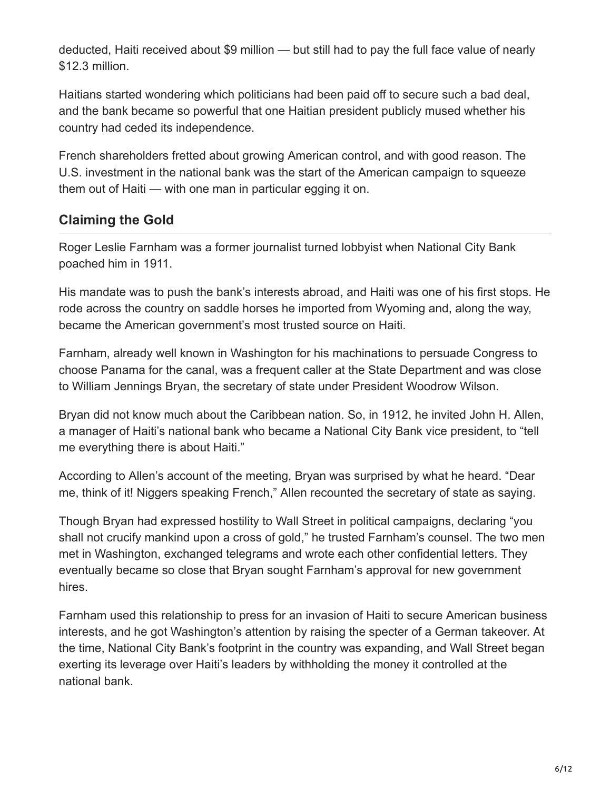deducted, Haiti received about \$9 million — but still had to pay the full face value of nearly \$12.3 million.

Haitians started wondering which politicians had been paid off to secure such a bad deal, and the bank became so powerful that one Haitian president publicly mused whether his country had ceded its independence.

French shareholders fretted about growing American control, and with good reason. The U.S. investment in the national bank was the start of the American campaign to squeeze them out of Haiti — with one man in particular egging it on.

### **Claiming the Gold**

Roger Leslie Farnham was a former journalist turned lobbyist when National City Bank poached him in 1911.

His mandate was to push the bank's interests abroad, and Haiti was one of his first stops. He rode across the country on saddle horses he imported from Wyoming and, along the way, became the American government's most trusted source on Haiti.

Farnham, already well known in Washington for his machinations to persuade Congress to choose Panama for the canal, was a frequent caller at the State Department and was close to William Jennings Bryan, the secretary of state under President Woodrow Wilson.

Bryan did not know much about the Caribbean nation. So, in 1912, he invited John H. Allen, a manager of Haiti's national bank who became a National City Bank vice president, to "tell me everything there is about Haiti."

According to Allen's account of the meeting, Bryan was surprised by what he heard. "Dear me, think of it! Niggers speaking French," Allen recounted the secretary of state as saying.

Though Bryan had expressed hostility to Wall Street in political campaigns, declaring "you shall not crucify mankind upon a cross of gold," he trusted Farnham's counsel. The two men met in Washington, exchanged telegrams and wrote each other confidential letters. They eventually became so close that Bryan sought Farnham's approval for new government hires.

Farnham used this relationship to press for an invasion of Haiti to secure American business interests, and he got Washington's attention by raising the specter of a German takeover. At the time, National City Bank's footprint in the country was expanding, and Wall Street began exerting its leverage over Haiti's leaders by withholding the money it controlled at the national bank.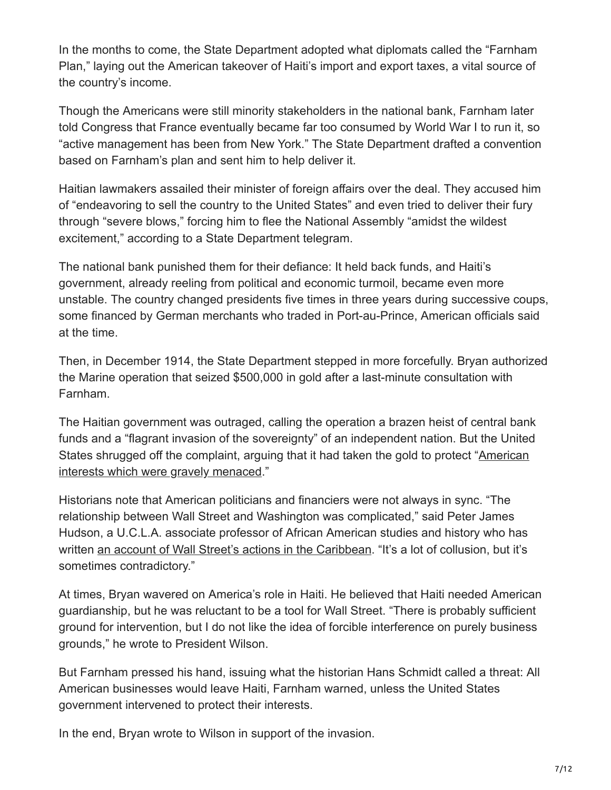In the months to come, the State Department adopted what diplomats called the "Farnham Plan," laying out the American takeover of Haiti's import and export taxes, a vital source of the country's income.

Though the Americans were still minority stakeholders in the national bank, Farnham later told Congress that France eventually became far too consumed by World War I to run it, so "active management has been from New York." The State Department drafted a convention based on Farnham's plan and sent him to help deliver it.

Haitian lawmakers assailed their minister of foreign affairs over the deal. They accused him of "endeavoring to sell the country to the United States" and even tried to deliver their fury through "severe blows," forcing him to flee the National Assembly "amidst the wildest excitement," according to a State Department telegram.

The national bank punished them for their defiance: It held back funds, and Haiti's government, already reeling from political and economic turmoil, became even more unstable. The country changed presidents five times in three years during successive coups, some financed by German merchants who traded in Port-au-Prince, American officials said at the time.

Then, in December 1914, the State Department stepped in more forcefully. Bryan authorized the Marine operation that seized \$500,000 in gold after a last-minute consultation with Farnham.

The Haitian government was outraged, calling the operation a brazen heist of central bank funds and a "flagrant invasion of the sovereignty" of an independent nation. But the United [States shrugged off the complaint, arguing that it had taken the gold to protect "American](https://history.state.gov/historicaldocuments/frus1914/pg_380) interests which were gravely menaced."

Historians note that American politicians and financiers were not always in sync. "The relationship between Wall Street and Washington was complicated," said Peter James Hudson, a U.C.L.A. associate professor of African American studies and history who has written [an account of Wall Street's actions in the Caribbean.](https://press.uchicago.edu/ucp/books/book/chicago/B/bo26032761.html) "It's a lot of collusion, but it's sometimes contradictory."

At times, Bryan wavered on America's role in Haiti. He believed that Haiti needed American guardianship, but he was reluctant to be a tool for Wall Street. "There is probably sufficient ground for intervention, but I do not like the idea of forcible interference on purely business grounds," he wrote to President Wilson.

But Farnham pressed his hand, issuing what the historian Hans Schmidt called a threat: All American businesses would leave Haiti, Farnham warned, unless the United States government intervened to protect their interests.

In the end, Bryan wrote to Wilson in support of the invasion.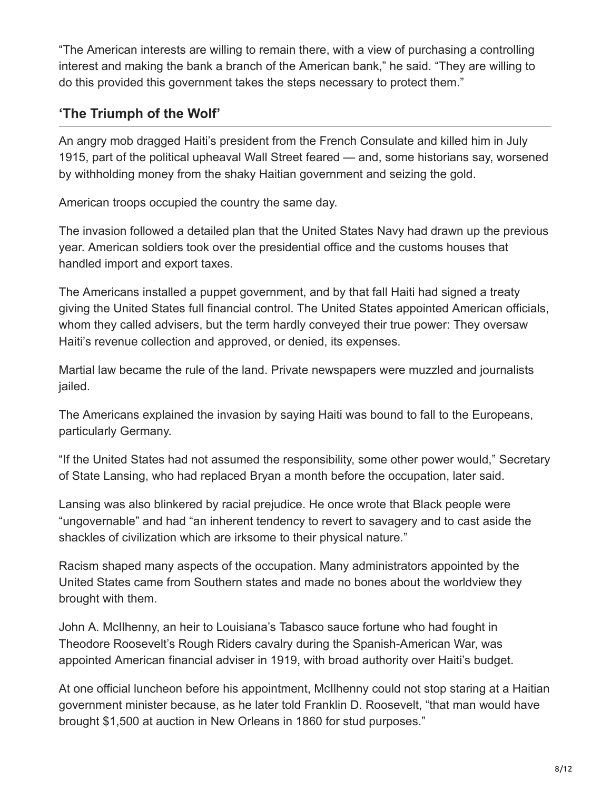"The American interests are willing to remain there, with a view of purchasing a controlling interest and making the bank a branch of the American bank," he said. "They are willing to do this provided this government takes the steps necessary to protect them."

## **'The Triumph of the Wolf'**

An angry mob dragged Haiti's president from the French Consulate and killed him in July 1915, part of the political upheaval Wall Street feared — and, some historians say, worsened by withholding money from the shaky Haitian government and seizing the gold.

American troops occupied the country the same day.

The invasion followed a detailed plan that the United States Navy had drawn up the previous year. American soldiers took over the presidential office and the customs houses that handled import and export taxes.

The Americans installed a puppet government, and by that fall Haiti had signed a treaty giving the United States full financial control. The United States appointed American officials, whom they called advisers, but the term hardly conveyed their true power: They oversaw Haiti's revenue collection and approved, or denied, its expenses.

Martial law became the rule of the land. Private newspapers were muzzled and journalists jailed.

The Americans explained the invasion by saying Haiti was bound to fall to the Europeans, particularly Germany.

"If the United States had not assumed the responsibility, some other power would," Secretary of State Lansing, who had replaced Bryan a month before the occupation, later said.

Lansing was also blinkered by racial prejudice. He once wrote that Black people were "ungovernable" and had "an inherent tendency to revert to savagery and to cast aside the shackles of civilization which are irksome to their physical nature."

Racism shaped many aspects of the occupation. Many administrators appointed by the United States came from Southern states and made no bones about the worldview they brought with them.

John A. McIlhenny, an heir to Louisiana's Tabasco sauce fortune who had fought in Theodore Roosevelt's Rough Riders cavalry during the Spanish-American War, was appointed American financial adviser in 1919, with broad authority over Haiti's budget.

At one official luncheon before his appointment, McIlhenny could not stop staring at a Haitian government minister because, as he later told Franklin D. Roosevelt, "that man would have brought \$1,500 at auction in New Orleans in 1860 for stud purposes."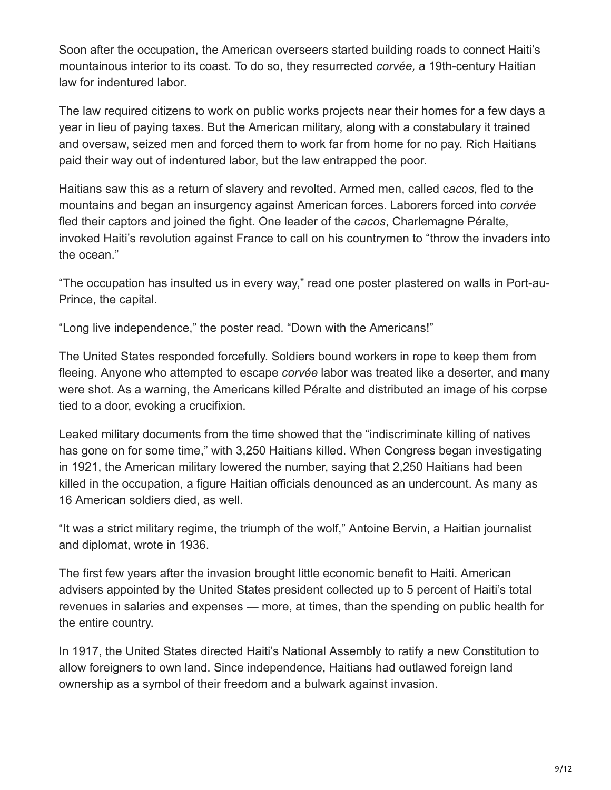Soon after the occupation, the American overseers started building roads to connect Haiti's mountainous interior to its coast. To do so, they resurrected *corvée,* a 19th-century Haitian law for indentured labor*.*

The law required citizens to work on public works projects near their homes for a few days a year in lieu of paying taxes. But the American military, along with a constabulary it trained and oversaw, seized men and forced them to work far from home for no pay. Rich Haitians paid their way out of indentured labor, but the law entrapped the poor.

Haitians saw this as a return of slavery and revolted. Armed men, called c*acos*, fled to the mountains and began an insurgency against American forces. Laborers forced into *corvée* fled their captors and joined the fight. One leader of the c*acos*, Charlemagne Péralte, invoked Haiti's revolution against France to call on his countrymen to "throw the invaders into the ocean."

"The occupation has insulted us in every way," read one poster plastered on walls in Port-au-Prince, the capital.

"Long live independence," the poster read. "Down with the Americans!"

The United States responded forcefully. Soldiers bound workers in rope to keep them from fleeing. Anyone who attempted to escape *corvée* labor was treated like a deserter, and many were shot. As a warning, the Americans killed Péralte and distributed an image of his corpse tied to a door, evoking a crucifixion.

Leaked military documents from the time showed that the "indiscriminate killing of natives has gone on for some time," with 3,250 Haitians killed. When Congress began investigating in 1921, the American military lowered the number, saying that 2,250 Haitians had been killed in the occupation, a figure Haitian officials denounced as an undercount. As many as 16 American soldiers died, as well.

"It was a strict military regime, the triumph of the wolf," Antoine Bervin, a Haitian journalist and diplomat, wrote in 1936.

The first few years after the invasion brought little economic benefit to Haiti. American advisers appointed by the United States president collected up to 5 percent of Haiti's total revenues in salaries and expenses — more, at times, than the spending on public health for the entire country.

In 1917, the United States directed Haiti's National Assembly to ratify a new Constitution to allow foreigners to own land. Since independence, Haitians had outlawed foreign land ownership as a symbol of their freedom and a bulwark against invasion.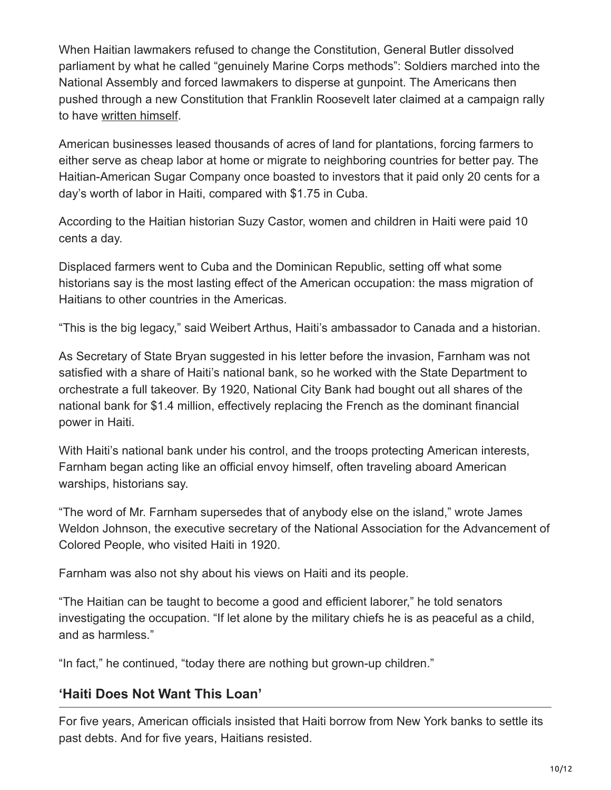When Haitian lawmakers refused to change the Constitution, General Butler dissolved parliament by what he called "genuinely Marine Corps methods": Soldiers marched into the National Assembly and forced lawmakers to disperse at gunpoint. The Americans then pushed through a new Constitution that Franklin Roosevelt later claimed at a campaign rally to have [written himself](https://timesmachine.nytimes.com/timesmachine/1920/08/19/96894136.html?pageNumber=11).

American businesses leased thousands of acres of land for plantations, forcing farmers to either serve as cheap labor at home or migrate to neighboring countries for better pay. The Haitian-American Sugar Company once boasted to investors that it paid only 20 cents for a day's worth of labor in Haiti, compared with \$1.75 in Cuba.

According to the Haitian historian Suzy Castor, women and children in Haiti were paid 10 cents a day.

Displaced farmers went to Cuba and the Dominican Republic, setting off what some historians say is the most lasting effect of the American occupation: the mass migration of Haitians to other countries in the Americas.

"This is the big legacy," said Weibert Arthus, Haiti's ambassador to Canada and a historian.

As Secretary of State Bryan suggested in his letter before the invasion, Farnham was not satisfied with a share of Haiti's national bank, so he worked with the State Department to orchestrate a full takeover. By 1920, National City Bank had bought out all shares of the national bank for \$1.4 million, effectively replacing the French as the dominant financial power in Haiti.

With Haiti's national bank under his control, and the troops protecting American interests, Farnham began acting like an official envoy himself, often traveling aboard American warships, historians say.

"The word of Mr. Farnham supersedes that of anybody else on the island," wrote James Weldon Johnson, the executive secretary of the National Association for the Advancement of Colored People, who visited Haiti in 1920.

Farnham was also not shy about his views on Haiti and its people.

"The Haitian can be taught to become a good and efficient laborer," he told senators investigating the occupation. "If let alone by the military chiefs he is as peaceful as a child, and as harmless."

"In fact," he continued, "today there are nothing but grown-up children."

#### **'Haiti Does Not Want This Loan'**

For five years, American officials insisted that Haiti borrow from New York banks to settle its past debts. And for five years, Haitians resisted.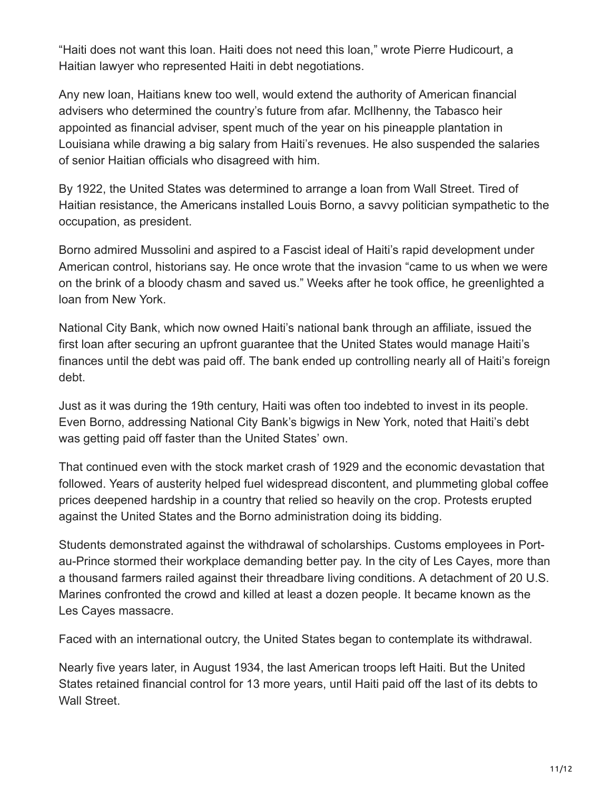"Haiti does not want this loan. Haiti does not need this loan," wrote Pierre Hudicourt, a Haitian lawyer who represented Haiti in debt negotiations.

Any new loan, Haitians knew too well, would extend the authority of American financial advisers who determined the country's future from afar. McIlhenny, the Tabasco heir appointed as financial adviser, spent much of the year on his pineapple plantation in Louisiana while drawing a big salary from Haiti's revenues. He also suspended the salaries of senior Haitian officials who disagreed with him.

By 1922, the United States was determined to arrange a loan from Wall Street. Tired of Haitian resistance, the Americans installed Louis Borno, a savvy politician sympathetic to the occupation, as president.

Borno admired Mussolini and aspired to a Fascist ideal of Haiti's rapid development under American control, historians say. He once wrote that the invasion "came to us when we were on the brink of a bloody chasm and saved us." Weeks after he took office, he greenlighted a loan from New York.

National City Bank, which now owned Haiti's national bank through an affiliate, issued the first loan after securing an upfront guarantee that the United States would manage Haiti's finances until the debt was paid off. The bank ended up controlling nearly all of Haiti's foreign debt.

Just as it was during the 19th century, Haiti was often too indebted to invest in its people. Even Borno, addressing National City Bank's bigwigs in New York, noted that Haiti's debt was getting paid off faster than the United States' own.

That continued even with the stock market crash of 1929 and the economic devastation that followed. Years of austerity helped fuel widespread discontent, and plummeting global coffee prices deepened hardship in a country that relied so heavily on the crop. Protests erupted against the United States and the Borno administration doing its bidding.

Students demonstrated against the withdrawal of scholarships. Customs employees in Portau-Prince stormed their workplace demanding better pay. In the city of Les Cayes, more than a thousand farmers railed against their threadbare living conditions. A detachment of 20 U.S. Marines confronted the crowd and killed at least a dozen people. It became known as the Les Cayes massacre.

Faced with an international outcry, the United States began to contemplate its withdrawal.

Nearly five years later, in August 1934, the last American troops left Haiti. But the United States retained financial control for 13 more years, until Haiti paid off the last of its debts to Wall Street.